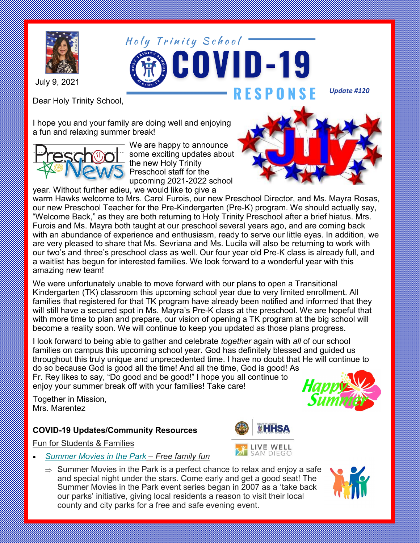

July 9, 2021

Dear Holy Trinity School,

I hope you and your family are doing well and enjoying a fun and relaxing summer break!



We are happy to announce some exciting updates about the new Holy Trinity Preschool staff for the upcoming 2021-2022 school

year. Without further adieu, we would like to give a



*Update #120*

warm Hawks welcome to Mrs. Carol Furois, our new Preschool Director, and Ms. Mayra Rosas, our new Preschool Teacher for the Pre-Kindergarten (Pre-K) program. We should actually say, "Welcome Back," as they are both returning to Holy Trinity Preschool after a brief hiatus. Mrs. Furois and Ms. Mayra both taught at our preschool several years ago, and are coming back with an abundance of experience and enthusiasm, ready to serve our little eyas. In addition, we are very pleased to share that Ms. Sevriana and Ms. Lucila will also be returning to work with our two's and three's preschool class as well. Our four year old Pre-K class is already full, and a waitlist has begun for interested families. We look forward to a wonderful year with this amazing new team!

We were unfortunately unable to move forward with our plans to open a Transitional Kindergarten (TK) classroom this upcoming school year due to very limited enrollment. All families that registered for that TK program have already been notified and informed that they will still have a secured spot in Ms. Mayra's Pre-K class at the preschool. We are hopeful that with more time to plan and prepare, our vision of opening a TK program at the big school will become a reality soon. We will continue to keep you updated as those plans progress.

I look forward to being able to gather and celebrate *together* again with *all* of our school families on campus this upcoming school year. God has definitely blessed and guided us throughout this truly unique and unprecedented time. I have no doubt that He will continue to do so because God is good all the time! And all the time, God is good! As Fr. Rey likes to say, "Do good and be good!" I hope you all continue to

enjoy your summer break off with your families! Take care!

Together in Mission, Mrs. Marentez

## **COVID-19 Updates/Community Resources**

Fun for Students & Families

- *[Summer Movies in the Park](https://sandiegocounty.us1.list-manage.com/track/click?u=e58769954638fa7f5721aa764&id=bc1b2162c0&e=0cb010a666) – Free family fun*
	- $\Rightarrow$  Summer Movies in the Park is a perfect chance to relax and enjoy a safe and special night under the stars. Come early and get a good seat! The Summer Movies in the Park event series began in 2007 as a 'take back our parks' initiative, giving local residents a reason to visit their local county and city parks for a free and safe evening event.





LIVE WELL SAN DIEGO

Holy Trinity School -

**COVID-19**